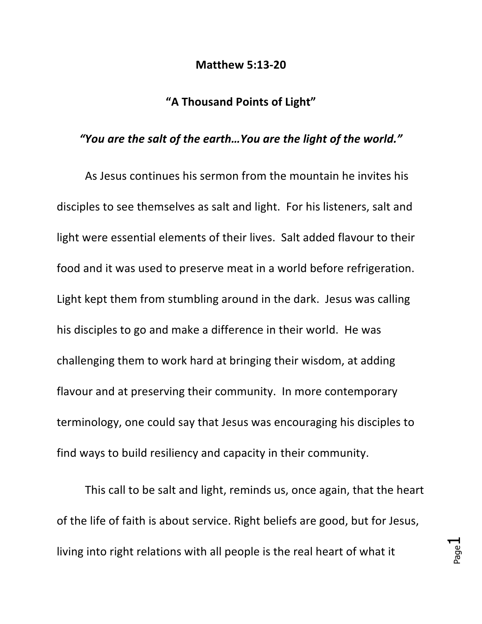## **Matthew 5:13-20**

## **"A Thousand Points of Light"**

## *"You are the salt of the earth…You are the light of the world."*

As Jesus continues his sermon from the mountain he invites his disciples to see themselves as salt and light. For his listeners, salt and light were essential elements of their lives. Salt added flavour to their food and it was used to preserve meat in a world before refrigeration. Light kept them from stumbling around in the dark. Jesus was calling his disciples to go and make a difference in their world. He was challenging them to work hard at bringing their wisdom, at adding flavour and at preserving their community. In more contemporary terminology, one could say that Jesus was encouraging his disciples to find ways to build resiliency and capacity in their community.

This call to be salt and light, reminds us, once again, that the heart of the life of faith is about service. Right beliefs are good, but for Jesus, living into right relations with all people is the real heart of what it

Page  $\overline{\phantom{0}}$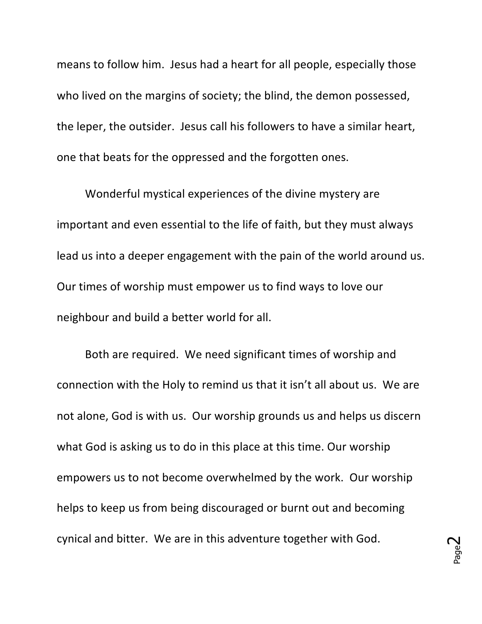means to follow him. Jesus had a heart for all people, especially those who lived on the margins of society; the blind, the demon possessed, the leper, the outsider. Jesus call his followers to have a similar heart, one that beats for the oppressed and the forgotten ones.

Wonderful mystical experiences of the divine mystery are important and even essential to the life of faith, but they must always lead us into a deeper engagement with the pain of the world around us. Our times of worship must empower us to find ways to love our neighbour and build a better world for all.

Both are required. We need significant times of worship and connection with the Holy to remind us that it isn't all about us. We are not alone, God is with us. Our worship grounds us and helps us discern what God is asking us to do in this place at this time. Our worship empowers us to not become overwhelmed by the work. Our worship helps to keep us from being discouraged or burnt out and becoming cynical and bitter. We are in this adventure together with God.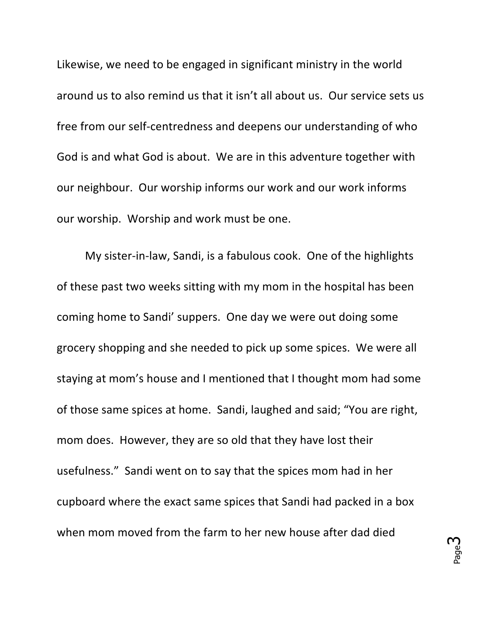Likewise, we need to be engaged in significant ministry in the world around us to also remind us that it isn't all about us. Our service sets us free from our self-centredness and deepens our understanding of who God is and what God is about. We are in this adventure together with our neighbour. Our worship informs our work and our work informs our worship. Worship and work must be one.

My sister-in-law, Sandi, is a fabulous cook. One of the highlights of these past two weeks sitting with my mom in the hospital has been coming home to Sandi' suppers. One day we were out doing some grocery shopping and she needed to pick up some spices. We were all staying at mom's house and I mentioned that I thought mom had some of those same spices at home. Sandi, laughed and said; "You are right, mom does. However, they are so old that they have lost their usefulness." Sandi went on to say that the spices mom had in her cupboard where the exact same spices that Sandi had packed in a box when mom moved from the farm to her new house after dad died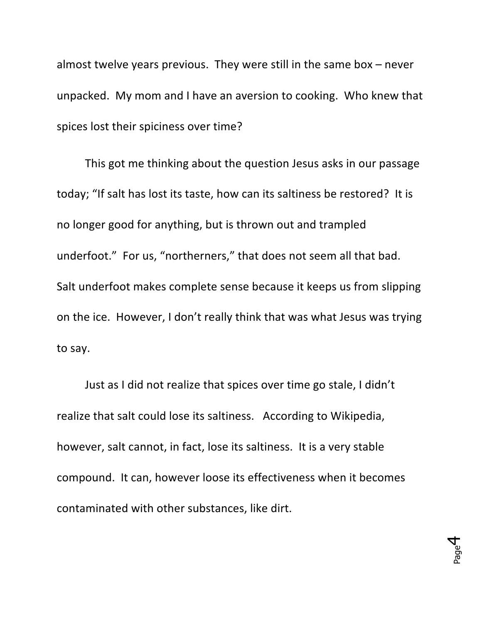almost twelve years previous. They were still in the same box  $-$  never unpacked. My mom and I have an aversion to cooking. Who knew that spices lost their spiciness over time?

This got me thinking about the question Jesus asks in our passage today; "If salt has lost its taste, how can its saltiness be restored? It is no longer good for anything, but is thrown out and trampled underfoot." For us, "northerners," that does not seem all that bad. Salt underfoot makes complete sense because it keeps us from slipping on the ice. However, I don't really think that was what Jesus was trying to say.

Just as I did not realize that spices over time go stale, I didn't realize that salt could lose its saltiness. According to Wikipedia, however, salt cannot, in fact, lose its saltiness. It is a very stable compound. It can, however loose its effectiveness when it becomes contaminated with other substances, like dirt.

> Page 4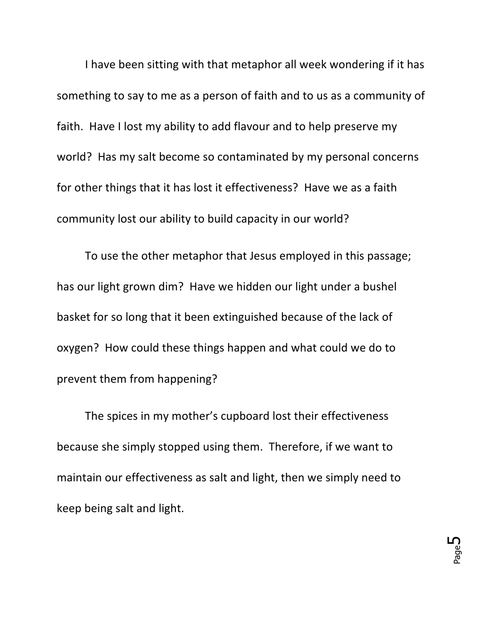I have been sitting with that metaphor all week wondering if it has something to say to me as a person of faith and to us as a community of faith. Have I lost my ability to add flavour and to help preserve my world? Has my salt become so contaminated by my personal concerns for other things that it has lost it effectiveness? Have we as a faith community lost our ability to build capacity in our world?

To use the other metaphor that Jesus employed in this passage; has our light grown dim? Have we hidden our light under a bushel basket for so long that it been extinguished because of the lack of oxygen? How could these things happen and what could we do to prevent them from happening?

The spices in my mother's cupboard lost their effectiveness because she simply stopped using them. Therefore, if we want to maintain our effectiveness as salt and light, then we simply need to keep being salt and light.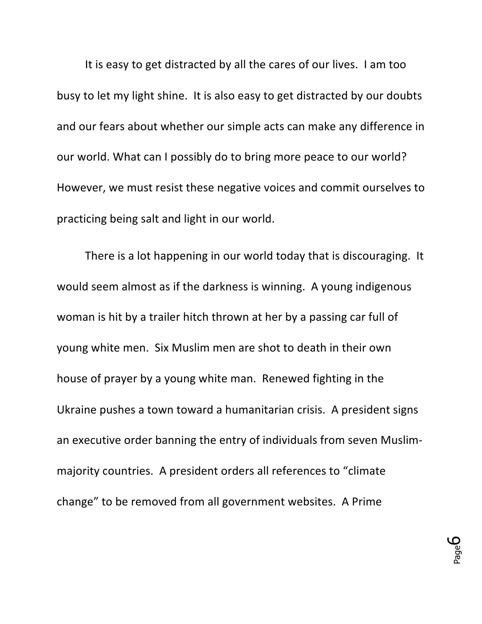It is easy to get distracted by all the cares of our lives. I am too busy to let my light shine. It is also easy to get distracted by our doubts and our fears about whether our simple acts can make any difference in our world. What can I possibly do to bring more peace to our world? However, we must resist these negative voices and commit ourselves to practicing being salt and light in our world.

There is a lot happening in our world today that is discouraging. It would seem almost as if the darkness is winning. A young indigenous woman is hit by a trailer hitch thrown at her by a passing car full of young white men. Six Muslim men are shot to death in their own house of prayer by a young white man. Renewed fighting in the Ukraine pushes a town toward a humanitarian crisis. A president signs an executive order banning the entry of individuals from seven Muslimmajority countries. A president orders all references to "climate change" to be removed from all government websites. A Prime

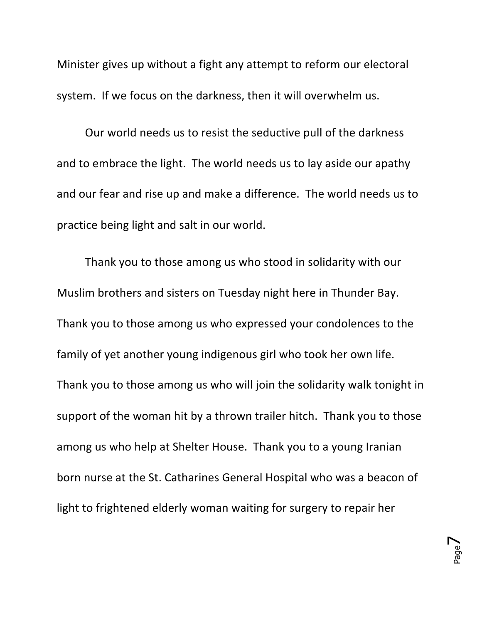Minister gives up without a fight any attempt to reform our electoral system. If we focus on the darkness, then it will overwhelm us.

Our world needs us to resist the seductive pull of the darkness and to embrace the light. The world needs us to lay aside our apathy and our fear and rise up and make a difference. The world needs us to practice being light and salt in our world.

Thank you to those among us who stood in solidarity with our Muslim brothers and sisters on Tuesday night here in Thunder Bay. Thank you to those among us who expressed your condolences to the family of yet another young indigenous girl who took her own life. Thank you to those among us who will join the solidarity walk tonight in support of the woman hit by a thrown trailer hitch. Thank you to those among us who help at Shelter House. Thank you to a young Iranian born nurse at the St. Catharines General Hospital who was a beacon of light to frightened elderly woman waiting for surgery to repair her

> Page  $\blacktriangleright$